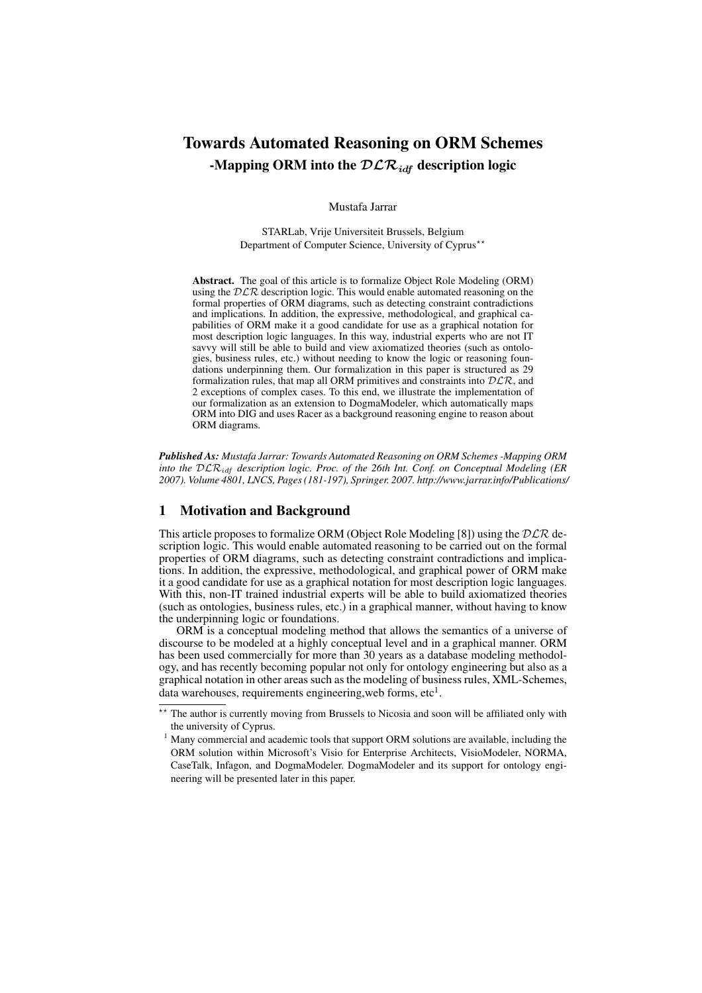# Towards Automated Reasoning on ORM Schemes -Mapping ORM into the  $\mathcal{DLR}_{idf}$  description logic

Mustafa Jarrar

STARLab, Vrije Universiteit Brussels, Belgium Department of Computer Science, University of Cyprus<sup>\*\*</sup>

Abstract. The goal of this article is to formalize Object Role Modeling (ORM) using the  $DLR$  description logic. This would enable automated reasoning on the formal properties of ORM diagrams, such as detecting constraint contradictions and implications. In addition, the expressive, methodological, and graphical capabilities of ORM make it a good candidate for use as a graphical notation for most description logic languages. In this way, industrial experts who are not IT savvy will still be able to build and view axiomatized theories (such as ontologies, business rules, etc.) without needing to know the logic or reasoning foundations underpinning them. Our formalization in this paper is structured as 29 formalization rules, that map all ORM primitives and constraints into  $D\mathcal{LR}$ , and 2 exceptions of complex cases. To this end, we illustrate the implementation of our formalization as an extension to DogmaModeler, which automatically maps ORM into DIG and uses Racer as a background reasoning engine to reason about ORM diagrams.

*Published As: Mustafa Jarrar: Towards Automated Reasoning on ORM Schemes -Mapping ORM into the* DLRidf *description logic. Proc. of the 26th Int. Conf. on Conceptual Modeling (ER 2007). Volume 4801, LNCS, Pages (181-197), Springer. 2007. http://www.jarrar.info/Publications/*

# 1 Motivation and Background

This article proposes to formalize ORM (Object Role Modeling [8]) using the  $DLR$  description logic. This would enable automated reasoning to be carried out on the formal properties of ORM diagrams, such as detecting constraint contradictions and implications. In addition, the expressive, methodological, and graphical power of ORM make it a good candidate for use as a graphical notation for most description logic languages. With this, non-IT trained industrial experts will be able to build axiomatized theories (such as ontologies, business rules, etc.) in a graphical manner, without having to know the underpinning logic or foundations.

ORM is a conceptual modeling method that allows the semantics of a universe of discourse to be modeled at a highly conceptual level and in a graphical manner. ORM has been used commercially for more than 30 years as a database modeling methodology, and has recently becoming popular not only for ontology engineering but also as a graphical notation in other areas such as the modeling of business rules, XML-Schemes, data warehouses, requirements engineering, web forms, etc<sup>1</sup>.

<sup>\*\*</sup> The author is currently moving from Brussels to Nicosia and soon will be affiliated only with the university of Cyprus.

<sup>&</sup>lt;sup>1</sup> Many commercial and academic tools that support ORM solutions are available, including the ORM solution within Microsoft's Visio for Enterprise Architects, VisioModeler, NORMA, CaseTalk, Infagon, and DogmaModeler. DogmaModeler and its support for ontology engineering will be presented later in this paper.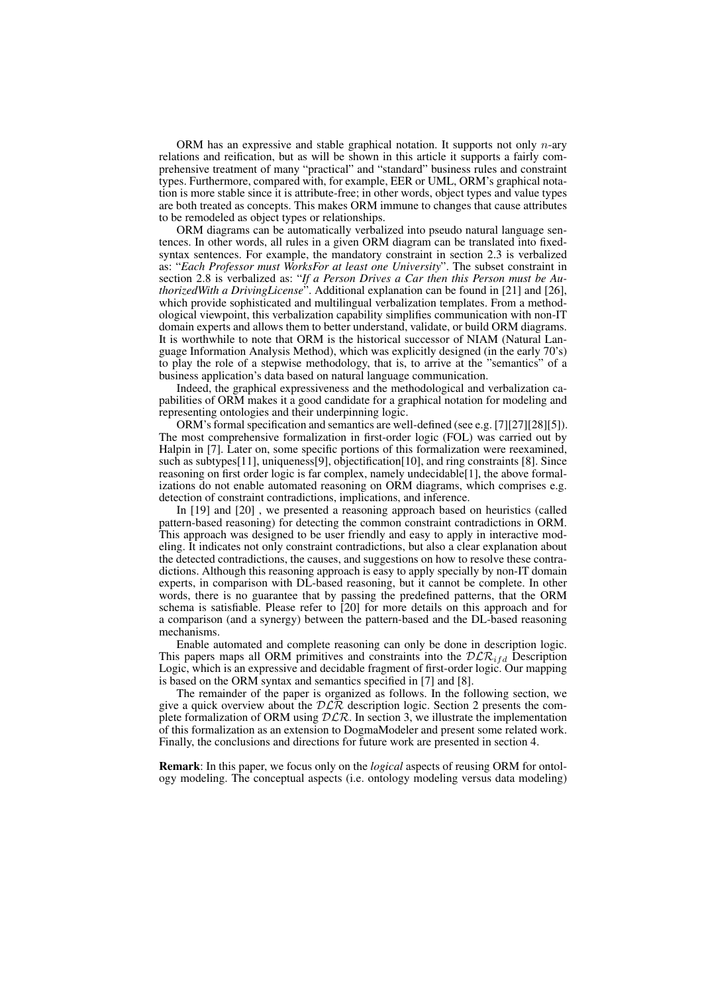ORM has an expressive and stable graphical notation. It supports not only  $n$ -ary relations and reification, but as will be shown in this article it supports a fairly comprehensive treatment of many "practical" and "standard" business rules and constraint types. Furthermore, compared with, for example, EER or UML, ORM's graphical notation is more stable since it is attribute-free; in other words, object types and value types are both treated as concepts. This makes ORM immune to changes that cause attributes to be remodeled as object types or relationships.

ORM diagrams can be automatically verbalized into pseudo natural language sentences. In other words, all rules in a given ORM diagram can be translated into fixedsyntax sentences. For example, the mandatory constraint in section 2.3 is verbalized as: "*Each Professor must WorksFor at least one University*". The subset constraint in section 2.8 is verbalized as: "*If a Person Drives a Car then this Person must be AuthorizedWith a DrivingLicense*". Additional explanation can be found in [21] and [26], which provide sophisticated and multilingual verbalization templates. From a methodological viewpoint, this verbalization capability simplifies communication with non-IT domain experts and allows them to better understand, validate, or build ORM diagrams. It is worthwhile to note that ORM is the historical successor of NIAM (Natural Language Information Analysis Method), which was explicitly designed (in the early 70's) to play the role of a stepwise methodology, that is, to arrive at the "semantics" of a business application's data based on natural language communication.

Indeed, the graphical expressiveness and the methodological and verbalization capabilities of ORM makes it a good candidate for a graphical notation for modeling and representing ontologies and their underpinning logic.

ORM's formal specification and semantics are well-defined (see e.g. [7][27][28][5]). The most comprehensive formalization in first-order logic (FOL) was carried out by Halpin in [7]. Later on, some specific portions of this formalization were reexamined, such as subtypes[11], uniqueness[9], objectification[10], and ring constraints [8]. Since reasoning on first order logic is far complex, namely undecidable[1], the above formalizations do not enable automated reasoning on ORM diagrams, which comprises e.g. detection of constraint contradictions, implications, and inference.

In [19] and [20] , we presented a reasoning approach based on heuristics (called pattern-based reasoning) for detecting the common constraint contradictions in ORM. This approach was designed to be user friendly and easy to apply in interactive modeling. It indicates not only constraint contradictions, but also a clear explanation about the detected contradictions, the causes, and suggestions on how to resolve these contradictions. Although this reasoning approach is easy to apply specially by non-IT domain experts, in comparison with DL-based reasoning, but it cannot be complete. In other words, there is no guarantee that by passing the predefined patterns, that the ORM schema is satisfiable. Please refer to [20] for more details on this approach and for a comparison (and a synergy) between the pattern-based and the DL-based reasoning mechanisms.

Enable automated and complete reasoning can only be done in description logic. This papers maps all ORM primitives and constraints into the  $D\mathcal{LR}_{ifd}$  Description Logic, which is an expressive and decidable fragment of first-order logic. Our mapping is based on the ORM syntax and semantics specified in [7] and [8].

The remainder of the paper is organized as follows. In the following section, we give a quick overview about the  $D\tilde{\mathcal{LR}}$  description logic. Section 2 presents the complete formalization of ORM using  $DLR$ . In section 3, we illustrate the implementation of this formalization as an extension to DogmaModeler and present some related work. Finally, the conclusions and directions for future work are presented in section 4.

Remark: In this paper, we focus only on the *logical* aspects of reusing ORM for ontology modeling. The conceptual aspects (i.e. ontology modeling versus data modeling)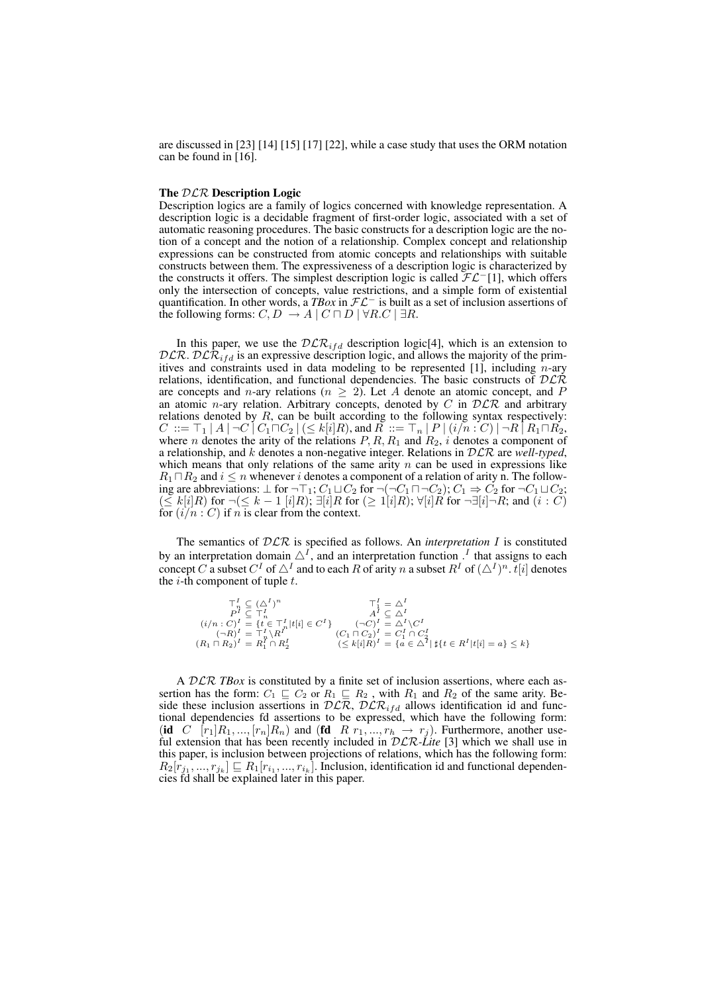are discussed in [23] [14] [15] [17] [22], while a case study that uses the ORM notation can be found in [16].

## The  $DLR$  Description Logic

Description logics are a family of logics concerned with knowledge representation. A description logic is a decidable fragment of first-order logic, associated with a set of automatic reasoning procedures. The basic constructs for a description logic are the notion of a concept and the notion of a relationship. Complex concept and relationship expressions can be constructed from atomic concepts and relationships with suitable constructs between them. The expressiveness of a description logic is characterized by the constructs it offers. The simplest description logic is called  $\mathcal{FL}^-[1]$ , which offers only the intersection of concepts, value restrictions, and a simple form of existential quantification. In other words, a *TBox* in FL<sup>−</sup> is built as a set of inclusion assertions of the following forms:  $C, D \rightarrow A \mid C \sqcap D \mid \forall R.C \mid \exists R$ .

In this paper, we use the  $DLR_{ifd}$  description logic[4], which is an extension to  $D\mathcal{LR}$ .  $D\mathcal{LR}_{ifd}$  is an expressive description logic, and allows the majority of the primitives and constraints used in data modeling to be represented [1], including  $n$ -ary relations, identification, and functional dependencies. The basic constructs of  $D\mathcal{L}\mathcal{R}$ are concepts and n-ary relations ( $n \geq 2$ ). Let A denote an atomic concept, and P an atomic *n*-ary relation. Arbitrary concepts, denoted by  $C$  in  $D\mathcal{LR}$  and arbitrary relations denoted by  $R$ , can be built according to the following syntax respectively:  $C\ ::= \top_1 \ | \ A \ | \ \neg C \ | \ C_1 \sqcap C_2 \ | \ (\leq k[i]R),$  and  $R\ ::= \top_n \ | \ P \ | \ (i/n:C) \ | \ \neg R \ | \ R_1 \sqcap R_2,$ where *n* denotes the arity of the relations  $P, R, R_1$  and  $R_2$ , *i* denotes a component of a relationship, and k denotes a non-negative integer. Relations in DLR are *well-typed*, which means that only relations of the same arity  $n$  can be used in expressions like  $R_1 \sqcap R_2$  and  $i \leq n$  whenever i denotes a component of a relation of arity n. The following are abbreviations:  $\perp$  for  $\neg\top_1$ ;  $C_1 \sqcup C_2$  for  $\neg(\neg C_1 \sqcap \neg C_2)$ ;  $C_1 \Rightarrow C_2$  for  $\neg C_1 \sqcup C_2$ ;  $(\leq k[i]R)$  for  $\neg(\leq k-1[i]R)$ ;  $\nexists [i]R$  for  $(\geq 1[i]R)$ ;  $\nforall [i]R$  for  $\neg \exists [i]\neg R$ ; and  $(i:C)$ for  $(i/n : C)$  if *n* is clear from the context.

The semantics of DLR is specified as follows. An *interpretation* I is constituted by an interpretation domain  $\triangle^I$ , and an interpretation function  $\Gamma$  that assigns to each concept C a subset  $C^I$  of  $\triangle^I$  and to each R of arity n a subset  $R^I$  of  $(\triangle^I)^n$ .  $t[i]$  denotes the  $i$ -th component of tuple  $t$ .

$$
\begin{array}{ll}\n\top_n^I \subseteq (\triangle^I)^n & \top_1^I = \triangle^I \\
P^I \subseteq \top_n^I & A^I \subseteq \triangle^I \\
(i/n : C)^I = \{t \in \top_n^I | t[i] \in C^I\} & (\neg C)^I = \triangle^I \setminus C^I \\
(\neg R)^I = \top_n^I \setminus R^I & (C_1 \sqcap C_2)^I = C_1^I \cap C_2^I \\
(R_1 \sqcap R_2)^I = R_1^I \cap R_2^I & (\le k[i]R)^I = \{a \in \triangle^I | t[i \in R^I | t[i] = a\} \le k\}\n\end{array}
$$

A DLR *TBox* is constituted by a finite set of inclusion assertions, where each assertion has the form:  $C_1 \subseteq C_2$  or  $R_1 \subseteq R_2$ , with  $R_1$  and  $R_2$  of the same arity. Beside these inclusion assertions in  $DLR$ ,  $DLR$ <sub>ifd</sub> allows identification id and functional dependencies fd assertions to be expressed, which have the following form: (id C  $[r_1]R_1, ..., [r_n]R_n$ ) and (fd R  $r_1, ..., r_h \rightarrow r_j$ ). Furthermore, another useful extension that has been recently included in  $\mathcal{DLR}\_$ lite [3] which we shall use in this paper, is inclusion between projections of relations, which has the following form:  $R_2[r_{j_1},...,r_{j_k}] \sqsubseteq R_1[r_{i_1},...,r_{i_k}]$ . Inclusion, identification id and functional dependencies fd shall be explained later in this paper.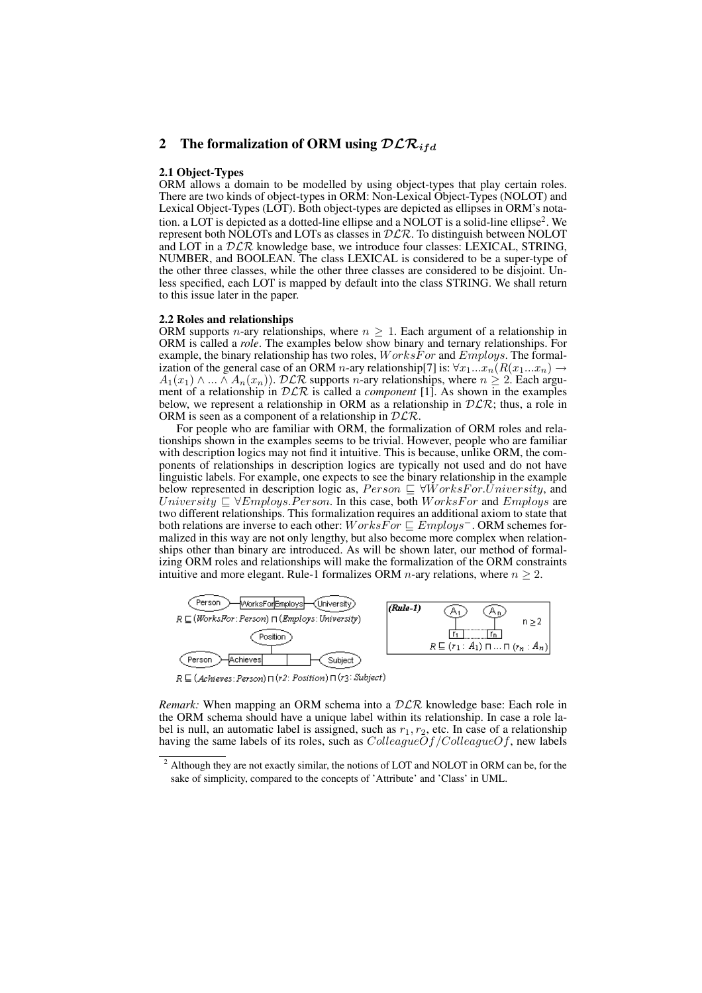# 2 The formalization of ORM using  $\mathcal{DLR}_{ifd}$

## 2.1 Object-Types

ORM allows a domain to be modelled by using object-types that play certain roles. There are two kinds of object-types in ORM: Non-Lexical Object-Types (NOLOT) and Lexical Object-Types (LOT). Both object-types are depicted as ellipses in ORM's notation. a LOT is depicted as a dotted-line ellipse and a NOLOT is a solid-line ellipse<sup>2</sup> . We represent both NOLOTs and LOTs as classes in  $DLR$ . To distinguish between NOLOT and LOT in a  $DLR$  knowledge base, we introduce four classes: LEXICAL, STRING, NUMBER, and BOOLEAN. The class LEXICAL is considered to be a super-type of the other three classes, while the other three classes are considered to be disjoint. Unless specified, each LOT is mapped by default into the class STRING. We shall return to this issue later in the paper.

#### 2.2 Roles and relationships

ORM supports n-ary relationships, where  $n \geq 1$ . Each argument of a relationship in ORM is called a *role*. The examples below show binary and ternary relationships. For example, the binary relationship has two roles,  $WorksFor$  and  $Embloys$ . The formalization of the general case of an ORM n-ary relationship[7] is:  $\forall x_1...x_n(R(x_1...x_n) \rightarrow$  $A_1(x_1) \wedge ... \wedge A_n(x_n)$ .  $DLR$  supports *n*-ary relationships, where  $n \geq 2$ . Each argument of a relationship in DLR is called a *component* [1]. As shown in the examples below, we represent a relationship in ORM as a relationship in  $DLR$ ; thus, a role in ORM is seen as a component of a relationship in  $DLR$ .

For people who are familiar with ORM, the formalization of ORM roles and relationships shown in the examples seems to be trivial. However, people who are familiar with description logics may not find it intuitive. This is because, unlike ORM, the components of relationships in description logics are typically not used and do not have linguistic labels. For example, one expects to see the binary relationship in the example below represented in description logic as,  $Person \subseteq \forall WorksFor. University$ , and University  $\subseteq \forall$ Employs.Person. In this case, both WorksFor and Employs are two different relationships. This formalization requires an additional axiom to state that both relations are inverse to each other:  $WorksFor \subseteq Employs$ . ORM schemes formalized in this way are not only lengthy, but also become more complex when relationships other than binary are introduced. As will be shown later, our method of formalizing ORM roles and relationships will make the formalization of the ORM constraints intuitive and more elegant. Rule-1 formalizes ORM *n*-ary relations, where  $n \geq 2$ .



 $R \sqsubseteq (Achieves:Person) \sqcap (r2: Position) \sqcap (r3:Subject)$ 

*Remark:* When mapping an ORM schema into a  $D\mathcal{LR}$  knowledge base: Each role in the ORM schema should have a unique label within its relationship. In case a role label is null, an automatic label is assigned, such as  $r_1, r_2$ , etc. In case of a relationship having the same labels of its roles, such as  $ColleagueOf/ColleagueOf$ , new labels

 $2$  Although they are not exactly similar, the notions of LOT and NOLOT in ORM can be, for the sake of simplicity, compared to the concepts of 'Attribute' and 'Class' in UML.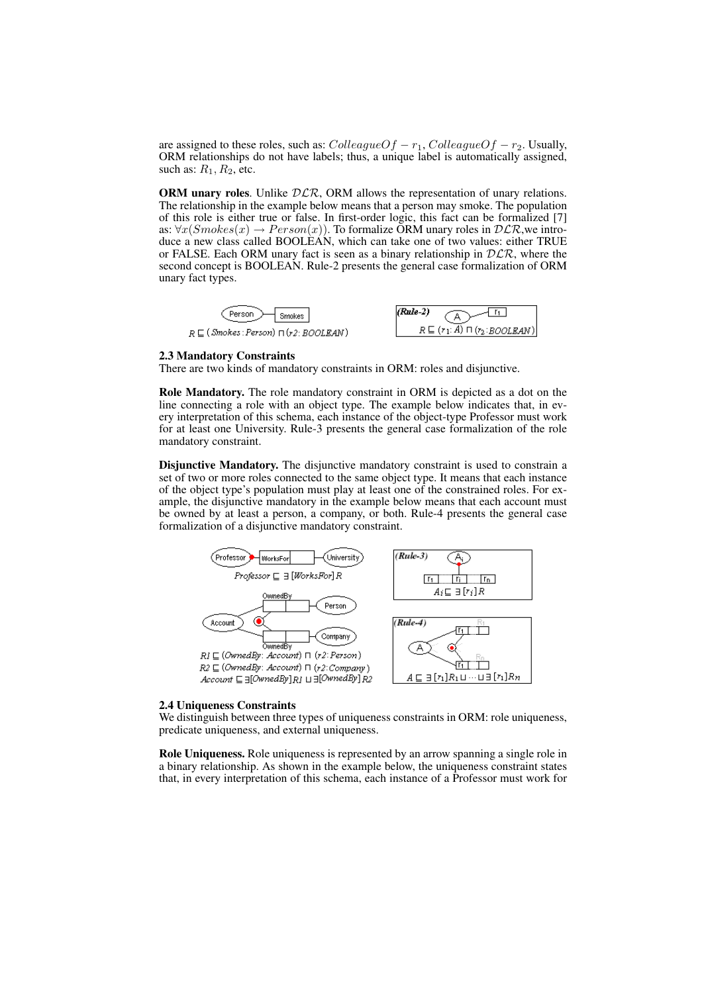are assigned to these roles, such as:  $Collected{f-r_1}$ ,  $Collected{g}{r-r_2}$ . Usually, ORM relationships do not have labels; thus, a unique label is automatically assigned, such as:  $R_1, R_2$ , etc.

ORM unary roles. Unlike  $DLR$ , ORM allows the representation of unary relations. The relationship in the example below means that a person may smoke. The population of this role is either true or false. In first-order logic, this fact can be formalized [7] as:  $\forall x (Smokes(x) \rightarrow Person(x))$ . To formalize ORM unary roles in  $DLR$ , we introduce a new class called BOOLEAN, which can take one of two values: either TRUE or FALSE. Each ORM unary fact is seen as a binary relationship in  $DLR$ , where the second concept is BOOLEAN. Rule-2 presents the general case formalization of ORM unary fact types.



#### 2.3 Mandatory Constraints

There are two kinds of mandatory constraints in ORM: roles and disjunctive.

Role Mandatory. The role mandatory constraint in ORM is depicted as a dot on the line connecting a role with an object type. The example below indicates that, in every interpretation of this schema, each instance of the object-type Professor must work for at least one University. Rule-3 presents the general case formalization of the role mandatory constraint.

Disjunctive Mandatory. The disjunctive mandatory constraint is used to constrain a set of two or more roles connected to the same object type. It means that each instance of the object type's population must play at least one of the constrained roles. For example, the disjunctive mandatory in the example below means that each account must be owned by at least a person, a company, or both. Rule-4 presents the general case formalization of a disjunctive mandatory constraint.



#### 2.4 Uniqueness Constraints

We distinguish between three types of uniqueness constraints in ORM: role uniqueness, predicate uniqueness, and external uniqueness.

Role Uniqueness. Role uniqueness is represented by an arrow spanning a single role in a binary relationship. As shown in the example below, the uniqueness constraint states that, in every interpretation of this schema, each instance of a Professor must work for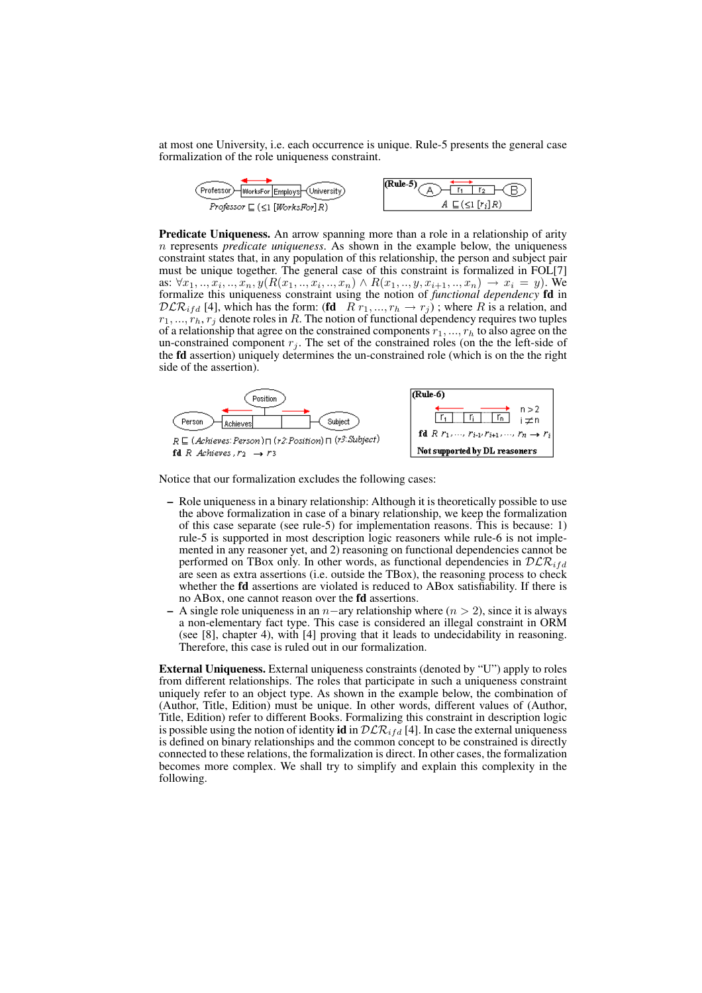at most one University, i.e. each occurrence is unique. Rule-5 presents the general case formalization of the role uniqueness constraint.



**Predicate Uniqueness.** An arrow spanning more than a role in a relationship of arity n represents *predicate uniqueness*. As shown in the example below, the uniqueness constraint states that, in any population of this relationship, the person and subject pair must be unique together. The general case of this constraint is formalized in FOL[7] as:  $\forall x_1, ..., x_i, ..., x_n, y(R(x_1, ..., x_i, ..., x_n) \land R(x_1, ..., y, x_{i+1}, ..., x_n) \rightarrow x_i = y)$ . We formalize this uniqueness constraint using the notion of *functional dependency* fd in  $DLR_{ifd}$  [4], which has the form: (fd  $R\rightarrow r_1, ..., r_h \rightarrow r_j$ ); where R is a relation, and  $r_1, ..., r_h, r_j$  denote roles in R. The notion of functional dependency requires two tuples of a relationship that agree on the constrained components  $r_1, ..., r_h$  to also agree on the un-constrained component  $r_i$ . The set of the constrained roles (on the the left-side of the fd assertion) uniquely determines the un-constrained role (which is on the the right side of the assertion).



Notice that our formalization excludes the following cases:

- Role uniqueness in a binary relationship: Although it is theoretically possible to use the above formalization in case of a binary relationship, we keep the formalization of this case separate (see rule-5) for implementation reasons. This is because: 1) rule-5 is supported in most description logic reasoners while rule-6 is not implemented in any reasoner yet, and 2) reasoning on functional dependencies cannot be performed on TBox only. In other words, as functional dependencies in  $D\mathcal{LR}_{ifd}$ are seen as extra assertions (i.e. outside the TBox), the reasoning process to check whether the fd assertions are violated is reduced to ABox satisfiability. If there is no ABox, one cannot reason over the fd assertions.
- A single role uniqueness in an  $n$ –ary relationship where ( $n > 2$ ), since it is always a non-elementary fact type. This case is considered an illegal constraint in ORM (see [8], chapter 4), with [4] proving that it leads to undecidability in reasoning. Therefore, this case is ruled out in our formalization.

External Uniqueness. External uniqueness constraints (denoted by "U") apply to roles from different relationships. The roles that participate in such a uniqueness constraint uniquely refer to an object type. As shown in the example below, the combination of (Author, Title, Edition) must be unique. In other words, different values of (Author, Title, Edition) refer to different Books. Formalizing this constraint in description logic is possible using the notion of identity id in  $\mathcal{DLR}_{ifd}$  [4]. In case the external uniqueness is defined on binary relationships and the common concept to be constrained is directly connected to these relations, the formalization is direct. In other cases, the formalization becomes more complex. We shall try to simplify and explain this complexity in the following.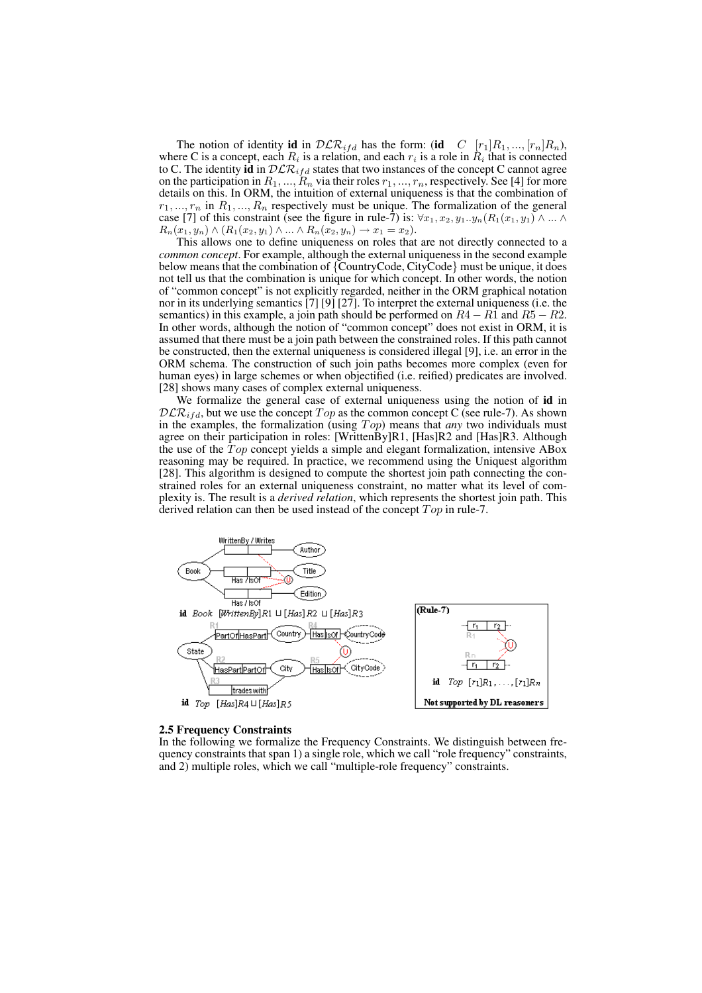The notion of identity id in  $\mathcal{DLR}_{ifd}$  has the form: (id  $C$   $[r_1]R_1, ..., [r_n]R_n$ ), where C is a concept, each  $R_i$  is a relation, and each  $r_i$  is a role in  $\tilde{R}_i$  that is connected to C. The identity  $\mathbf{id}$  in  $\mathcal{DLR}_{ifd}$  states that two instances of the concept C cannot agree on the participation in  $R_1, ..., R_n$  via their roles  $r_1, ..., r_n$ , respectively. See [4] for more details on this. In ORM, the intuition of external uniqueness is that the combination of  $r_1, ..., r_n$  in  $R_1, ..., R_n$  respectively must be unique. The formalization of the general case [7] of this constraint (see the figure in rule-7) is:  $\forall x_1, x_2, y_1..y_n (R_1(x_1, y_1) \wedge ... \wedge R_n(x_n, y_n))$  $R_n(x_1, y_n) \wedge (R_1(x_2, y_1) \wedge ... \wedge R_n(x_2, y_n) \rightarrow x_1 = x_2).$ 

This allows one to define uniqueness on roles that are not directly connected to a *common concept*. For example, although the external uniqueness in the second example below means that the combination of {CountryCode, CityCode} must be unique, it does not tell us that the combination is unique for which concept. In other words, the notion of "common concept" is not explicitly regarded, neither in the ORM graphical notation nor in its underlying semantics [7] [9] [27]. To interpret the external uniqueness (i.e. the semantics) in this example, a join path should be performed on  $R4 - R1$  and  $R5 - R2$ . In other words, although the notion of "common concept" does not exist in ORM, it is assumed that there must be a join path between the constrained roles. If this path cannot be constructed, then the external uniqueness is considered illegal [9], i.e. an error in the ORM schema. The construction of such join paths becomes more complex (even for human eyes) in large schemes or when objectified (i.e. reified) predicates are involved. [28] shows many cases of complex external uniqueness.

We formalize the general case of external uniqueness using the notion of id in  $DLR_{ifd}$ , but we use the concept  $Top$  as the common concept C (see rule-7). As shown in the examples, the formalization (using  $Top$ ) means that *any* two individuals must agree on their participation in roles: [WrittenBy]R1, [Has]R2 and [Has]R3. Although the use of the  $Top$  concept yields a simple and elegant formalization, intensive ABox reasoning may be required. In practice, we recommend using the Uniquest algorithm [28]. This algorithm is designed to compute the shortest join path connecting the constrained roles for an external uniqueness constraint, no matter what its level of complexity is. The result is a *derived relation*, which represents the shortest join path. This derived relation can then be used instead of the concept  $Top$  in rule-7.



#### 2.5 Frequency Constraints

In the following we formalize the Frequency Constraints. We distinguish between frequency constraints that span 1) a single role, which we call "role frequency" constraints, and 2) multiple roles, which we call "multiple-role frequency" constraints.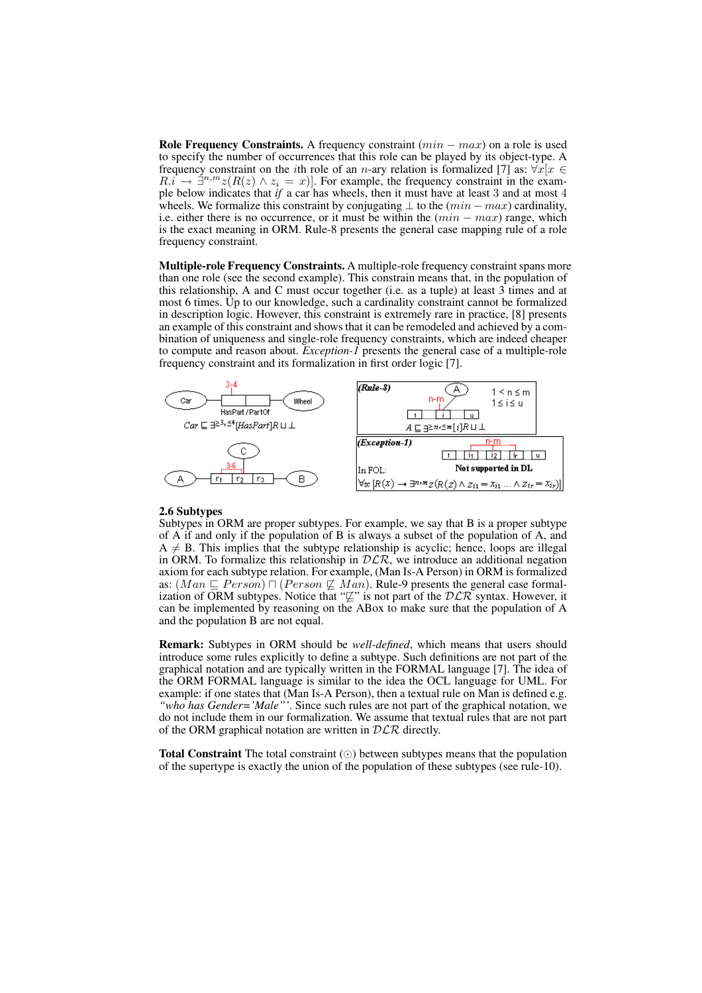Role Frequency Constraints. A frequency constraint  $(min - max)$  on a role is used to specify the number of occurrences that this role can be played by its object-type. A frequency constraint on the *i*th role of an *n*-ary relation is formalized [7] as:  $\forall x [x \in$  $R \cdot \vec{i} \rightarrow \vec{\exists}^{n,m} z (R(z) \wedge z_i = x)$ . For example, the frequency constraint in the example below indicates that *if* a car has wheels, then it must have at least 3 and at most 4 wheels. We formalize this constraint by conjugating  $\bot$  to the  $(min - max)$  cardinality, i.e. either there is no occurrence, or it must be within the  $(min - max)$  range, which is the exact meaning in ORM. Rule-8 presents the general case mapping rule of a role frequency constraint.

Multiple-role Frequency Constraints. A multiple-role frequency constraint spans more than one role (see the second example). This constrain means that, in the population of this relationship, A and C must occur together (i.e. as a tuple) at least 3 times and at most 6 times. Up to our knowledge, such a cardinality constraint cannot be formalized in description logic. However, this constraint is extremely rare in practice, [8] presents an example of this constraint and shows that it can be remodeled and achieved by a combination of uniqueness and single-role frequency constraints, which are indeed cheaper to compute and reason about. *Exception-1* presents the general case of a multiple-role frequency constraint and its formalization in first order logic [7].



#### 2.6 Subtypes

Subtypes in ORM are proper subtypes. For example, we say that B is a proper subtype of A if and only if the population of B is always a subset of the population of A, and  $A \neq B$ . This implies that the subtype relationship is acyclic; hence, loops are illegal in ORM. To formalize this relationship in  $D\mathcal{LR}$ , we introduce an additional negation axiom for each subtype relation. For example, (Man Is-A Person) in ORM is formalized as:  $(Man \sqsubseteq Person) \sqcap (Person \not\sqsubseteq Man)$ . Rule-9 presents the general case formalization of ORM subtypes. Notice that " $\not\subseteq$ " is not part of the  $D\mathcal{LR}$  syntax. However, it can be implemented by reasoning on the ABox to make sure that the population of A and the population B are not equal.

Remark: Subtypes in ORM should be *well-defined*, which means that users should introduce some rules explicitly to define a subtype. Such definitions are not part of the graphical notation and are typically written in the FORMAL language [7]. The idea of the ORM FORMAL language is similar to the idea the OCL language for UML. For example: if one states that (Man Is-A Person), then a textual rule on Man is defined e.g. *"who has Gender='Male"'*. Since such rules are not part of the graphical notation, we do not include them in our formalization. We assume that textual rules that are not part of the ORM graphical notation are written in  $DLR$  directly.

Total Constraint The total constraint  $(\odot)$  between subtypes means that the population of the supertype is exactly the union of the population of these subtypes (see rule-10).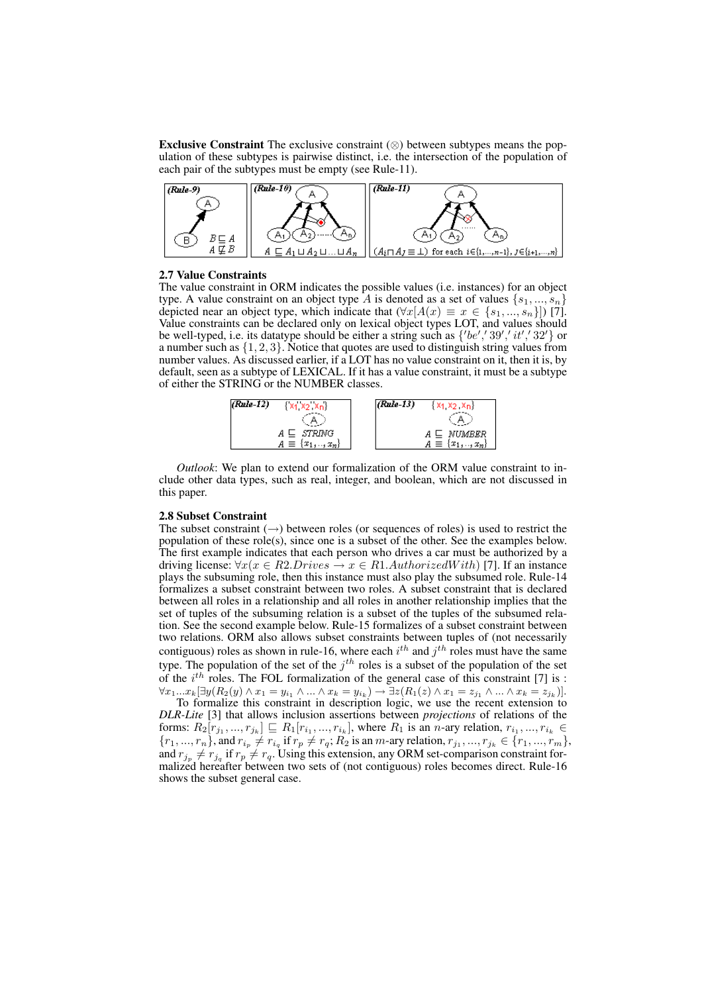Exclusive Constraint The exclusive constraint  $(\otimes)$  between subtypes means the population of these subtypes is pairwise distinct, i.e. the intersection of the population of each pair of the subtypes must be empty (see Rule-11).



## 2.7 Value Constraints

The value constraint in ORM indicates the possible values (i.e. instances) for an object type. A value constraint on an object type A is denoted as a set of values  $\{s_1, ..., s_n\}$ depicted near an object type, which indicate that  $(\forall x[A(x) \equiv x \in \{s_1, ..., s_n\}])$  [7]. Value constraints can be declared only on lexical object types LOT, and values should be well-typed, i.e. its datatype should be either a string such as  $\{^\prime\}b\acute{e}^\prime$ ,  $\{^\prime\}39^\prime$ ,  $^\prime\prime\dot{t}^\prime$ ,  $\{^\prime\}32^\prime\}$  or a number such as  $\{1, 2, 3\}$ . Notice that quotes are used to distinguish string values from number values. As discussed earlier, if a LOT has no value constraint on it, then it is, by default, seen as a subtype of LEXICAL. If it has a value constraint, it must be a subtype of either the STRING or the NUMBER classes.



*Outlook*: We plan to extend our formalization of the ORM value constraint to include other data types, such as real, integer, and boolean, which are not discussed in this paper.

## 2.8 Subset Constraint

The subset constraint  $(\rightarrow)$  between roles (or sequences of roles) is used to restrict the population of these role(s), since one is a subset of the other. See the examples below. The first example indicates that each person who drives a car must be authorized by a driving license:  $\forall x(x \in R2. Drives \rightarrow x \in R1. AuthorizedWith)$  [7]. If an instance plays the subsuming role, then this instance must also play the subsumed role. Rule-14 formalizes a subset constraint between two roles. A subset constraint that is declared between all roles in a relationship and all roles in another relationship implies that the set of tuples of the subsuming relation is a subset of the tuples of the subsumed relation. See the second example below. Rule-15 formalizes of a subset constraint between two relations. ORM also allows subset constraints between tuples of (not necessarily contiguous) roles as shown in rule-16, where each  $i^{th}$  and  $j^{th}$  roles must have the same type. The population of the set of the  $j<sup>th</sup>$  roles is a subset of the population of the set of the  $i^{th}$  roles. The FOL formalization of the general case of this constraint [7] is :  $\forall x_1...x_k[\exists y(R_2(y) \land x_1 = y_{i_1} \land ... \land x_k = y_{i_k}) \rightarrow \exists z(R_1(z) \land x_1 = z_{j_1} \land ... \land x_k = z_{j_k})].$ 

To formalize this constraint in description logic, we use the recent extension to *DLR-Lite* [3] that allows inclusion assertions between *projections* of relations of the forms:  $R_2[r_{j_1},...,r_{j_k}] \sqsubseteq R_1[r_{i_1},...,r_{i_k}]$ , where  $R_1$  is an *n*-ary relation,  $r_{i_1},...,r_{i_k} \in$  ${r_1, ..., r_n}$ , and  $r_{i_p} \neq r_{i_q}$  if  $r_p \neq r_q$ ;  $R_2$  is an m-ary relation,  $r_{j_1}, ..., r_{j_k} \in {r_1, ..., r_m}$ , and  $r_{j_p} \neq r_{j_q}$  if  $r_p \neq r_q$ . Using this extension, any ORM set-comparison constraint formalized hereafter between two sets of (not contiguous) roles becomes direct. Rule-16 shows the subset general case.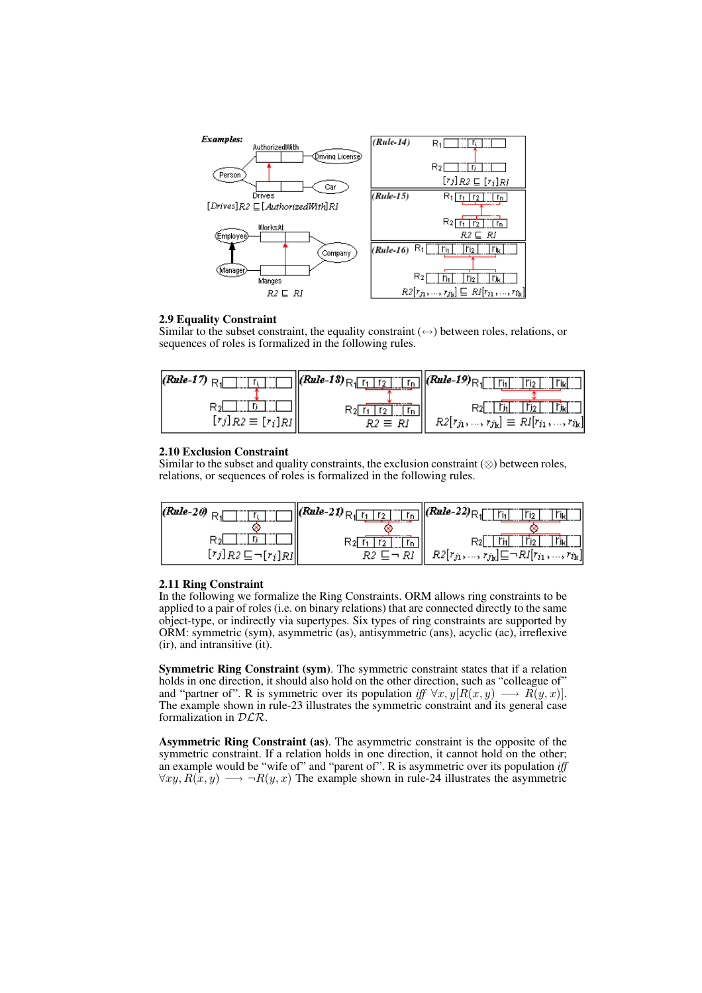

## 2.9 Equality Constraint

Similar to the subset constraint, the equality constraint  $(\leftrightarrow)$  between roles, relations, or sequences of roles is formalized in the following rules.

| $(Rule-17)$ RJ                 | $\  (Rule-13)_{\,\rm R} \ $<br>ľn | <i>(Rule-19)</i> <sub>R  </sub>                |
|--------------------------------|-----------------------------------|------------------------------------------------|
| ⊰ঝ                             |                                   |                                                |
| $[r_j]_{R2} \equiv [r_i]_{RI}$ | $R2 \equiv RI$                    | $R2[r_{j1},,r_{jk}] \equiv RI[r_{i1},,r_{ik}]$ |

## 2.10 Exclusion Constraint

Similar to the subset and quality constraints, the exclusion constraint  $(\otimes)$  between roles, relations, or sequences of roles is formalized in the following rules.

| $ $ (Rule-20) $_{\rm R1}$               | $\cdot$ all (Rule-21) $R_1$ [for $\overline{R_1}$ | $\boxed{\begin{bmatrix} r_{n} \end{bmatrix}}$ (Rule-22) $R_1$ $\boxed{\begin{bmatrix} r_{n} \end{bmatrix}}$ |
|-----------------------------------------|---------------------------------------------------|-------------------------------------------------------------------------------------------------------------|
|                                         |                                                   | <sup>r</sup> jkl                                                                                            |
| $[r_j]_{R2} \sqsubseteq \neg[r_i]_{RI}$ | R2 ⊑¬ RI                                          | $R2[r_{j_1},,r_{j_k}]\sqsubseteq \neg RI[r_{i_1},,r_{i_k}]$                                                 |

## 2.11 Ring Constraint

In the following we formalize the Ring Constraints. ORM allows ring constraints to be applied to a pair of roles (i.e. on binary relations) that are connected directly to the same object-type, or indirectly via supertypes. Six types of ring constraints are supported by ORM: symmetric (sym), asymmetric (as), antisymmetric (ans), acyclic (ac), irreflexive (ir), and intransitive (it).

Symmetric Ring Constraint (sym). The symmetric constraint states that if a relation holds in one direction, it should also hold on the other direction, such as "colleague of" and "partner of". R is symmetric over its population *iff*  $\forall x, y$ [ $R(x, y) \longrightarrow R(y, x)$ ]. The example shown in rule-23 illustrates the symmetric constraint and its general case formalization in DLR.

Asymmetric Ring Constraint (as). The asymmetric constraint is the opposite of the symmetric constraint. If a relation holds in one direction, it cannot hold on the other; an example would be "wife of" and "parent of". R is asymmetric over its population *iff*  $\forall xy, R(x, y) \longrightarrow \neg R(y, x)$  The example shown in rule-24 illustrates the asymmetric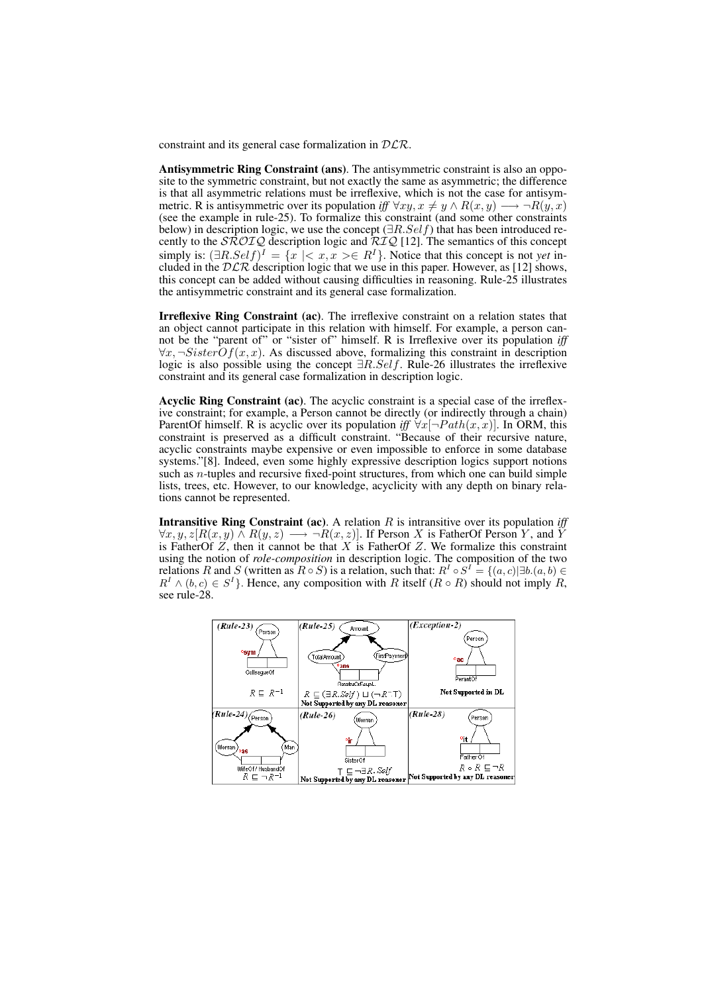constraint and its general case formalization in  $DLR$ .

Antisymmetric Ring Constraint (ans). The antisymmetric constraint is also an opposite to the symmetric constraint, but not exactly the same as asymmetric; the difference is that all asymmetric relations must be irreflexive, which is not the case for antisymmetric. R is antisymmetric over its population *iff*  $\forall xy, x \neq y \land R(x, y) \longrightarrow \neg R(y, x)$ (see the example in rule-25). To formalize this constraint (and some other constraints below) in description logic, we use the concept ( $\exists R.Self$ ) that has been introduced recently to the  $\angle$   $\angle$   $\angle$  description logic and  $\angle$   $\angle$   $\angle$  [12]. The semantics of this concept simply is:  $(\exists R. Self)^{I} = \{x \mid  \in R^{I}\}\)$ . Notice that this concept is not *yet* included in the  $D\mathcal{LR}$  description logic that we use in this paper. However, as [12] shows, this concept can be added without causing difficulties in reasoning. Rule-25 illustrates the antisymmetric constraint and its general case formalization.

Irreflexive Ring Constraint (ac). The irreflexive constraint on a relation states that an object cannot participate in this relation with himself. For example, a person cannot be the "parent of" or "sister of" himself. R is Irreflexive over its population *iff*  $\forall x, \neg SisterOf(x, x)$ . As discussed above, formalizing this constraint in description logic is also possible using the concept ∃R.Self. Rule-26 illustrates the irreflexive constraint and its general case formalization in description logic.

Acyclic Ring Constraint (ac). The acyclic constraint is a special case of the irreflexive constraint; for example, a Person cannot be directly (or indirectly through a chain) ParentOf himself. R is acyclic over its population *iff*  $\forall x$ [ $\neg Path(x, x)$ ]. In ORM, this constraint is preserved as a difficult constraint. "Because of their recursive nature, acyclic constraints maybe expensive or even impossible to enforce in some database systems."[8]. Indeed, even some highly expressive description logics support notions such as *n*-tuples and recursive fixed-point structures, from which one can build simple lists, trees, etc. However, to our knowledge, acyclicity with any depth on binary relations cannot be represented.

**Intransitive Ring Constraint (ac).** A relation  $R$  is intransitive over its population *iff*  $\forall x, y, z [R(x, y) \land R(y, z) \longrightarrow \neg R(x, z)]$ . If Person X is FatherOf Person Y, and Y is FatherOf  $Z$ , then it cannot be that  $X$  is FatherOf  $Z$ . We formalize this constraint using the notion of *role-composition* in description logic. The composition of the two relations R and S (written as  $R \circ S$ ) is a relation, such that:  $R^I \circ S^I = \{(a, c) | \exists b. (a, b) \in$  $R^I \wedge (b, c) \in S^I$ . Hence, any composition with R itself  $(R \circ R)$  should not imply R, see rule-28.

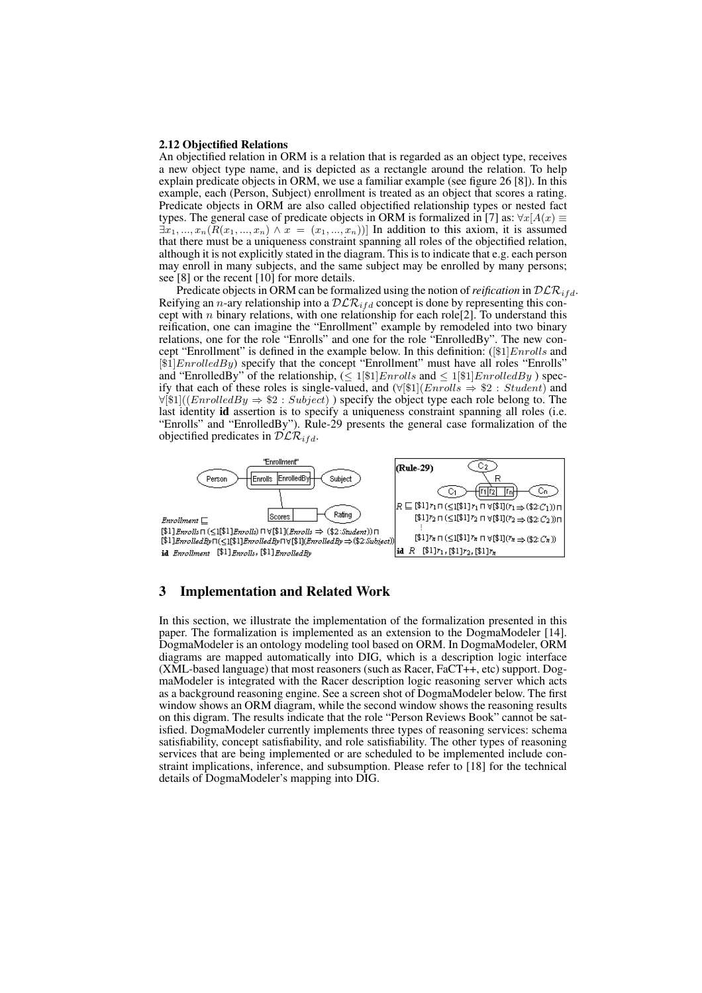#### 2.12 Objectified Relations

An objectified relation in ORM is a relation that is regarded as an object type, receives a new object type name, and is depicted as a rectangle around the relation. To help explain predicate objects in ORM, we use a familiar example (see figure 26 [8]). In this example, each (Person, Subject) enrollment is treated as an object that scores a rating. Predicate objects in ORM are also called objectified relationship types or nested fact types. The general case of predicate objects in ORM is formalized in [7] as:  $\forall x[A(x)] \equiv$  $\exists x_1, ..., x_n (R(x_1, ..., x_n) \wedge x = (x_1, ..., x_n))$ ] In addition to this axiom, it is assumed that there must be a uniqueness constraint spanning all roles of the objectified relation, although it is not explicitly stated in the diagram. This is to indicate that e.g. each person may enroll in many subjects, and the same subject may be enrolled by many persons; see [8] or the recent [10] for more details.

Predicate objects in ORM can be formalized using the notion of *reification* in  $D\mathcal{LR}_{ifd}$ . Reifying an *n*-ary relationship into a  $D\mathcal{LR}_{ifd}$  concept is done by representing this concept with *n* binary relations, with one relationship for each role<sup>[2]</sup>. To understand this reification, one can imagine the "Enrollment" example by remodeled into two binary relations, one for the role "Enrolls" and one for the role "EnrolledBy". The new concept "Enrollment" is defined in the example below. In this definition:  $([\$1]Enrolls$  and  $[$1] EnrolledBy)$  specify that the concept "Enrollment" must have all roles "Enrolls" and "EnrolledBy" of the relationship,  $(\leq 1 \mid \text{\textsterling}1 \mid \text{\textsterling}1 \mid \text{\textsterling}1 \mid \text{\textsterling}1 \mid \text{\textsterling}1 \mid \text{\textsterling}1 \mid \text{\textsterling}1 \mid \text{\textsterling}1 \mid \text{\textsterling}1 \mid \text{\textsterling}1 \mid \text{\textsterling}1 \mid \text{\textsterling}1 \mid \text{\textsterling}1 \mid \text{\textsterling}1 \mid \text{\textsterling}1 \mid \text{\textsterling}1 \mid \text{\textstrile}1 \mid \text{\textstr$ ify that each of these roles is single-valued, and  $(\forall [\$1] (Enrolls \Rightarrow \$2 : Student)$  and  $\forall$ [\$1]((EnrolledBy  $\Rightarrow$  \$2 : Subject)) specify the object type each role belong to. The last identity id assertion is to specify a uniqueness constraint spanning all roles (i.e. "Enrolls" and "EnrolledBy"). Rule-29 presents the general case formalization of the objectified predicates in  $\mathcal{DLR}_{ifd}$ .



# 3 Implementation and Related Work

In this section, we illustrate the implementation of the formalization presented in this paper. The formalization is implemented as an extension to the DogmaModeler [14]. DogmaModeler is an ontology modeling tool based on ORM. In DogmaModeler, ORM diagrams are mapped automatically into DIG, which is a description logic interface (XML-based language) that most reasoners (such as Racer, FaCT++, etc) support. DogmaModeler is integrated with the Racer description logic reasoning server which acts as a background reasoning engine. See a screen shot of DogmaModeler below. The first window shows an ORM diagram, while the second window shows the reasoning results on this digram. The results indicate that the role "Person Reviews Book" cannot be satisfied. DogmaModeler currently implements three types of reasoning services: schema satisfiability, concept satisfiability, and role satisfiability. The other types of reasoning services that are being implemented or are scheduled to be implemented include constraint implications, inference, and subsumption. Please refer to [18] for the technical details of DogmaModeler's mapping into DIG.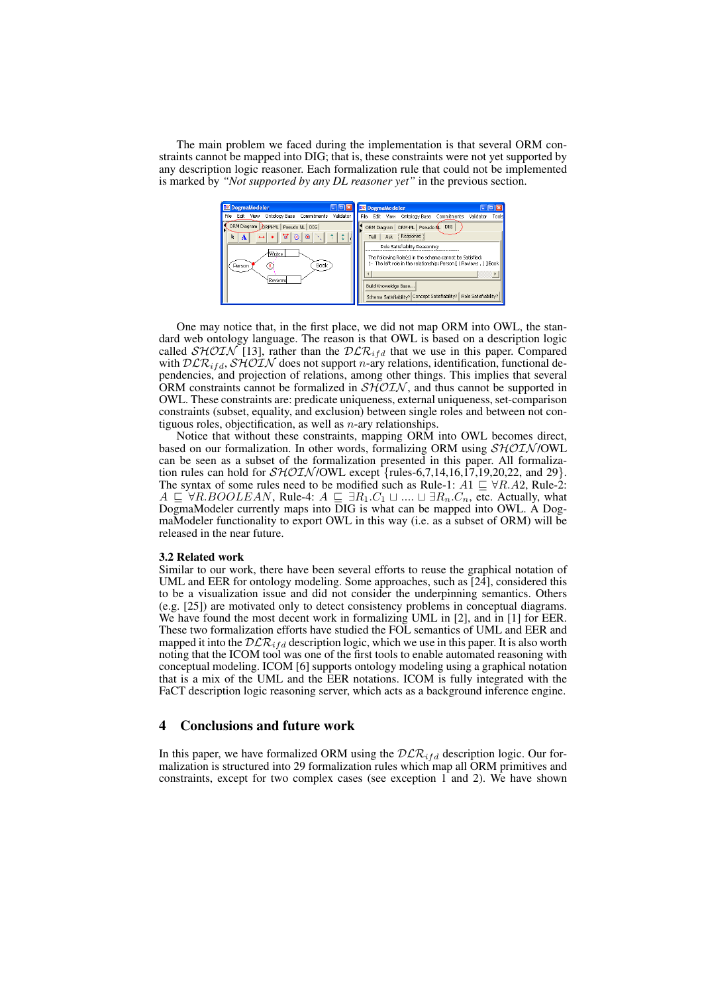The main problem we faced during the implementation is that several ORM constraints cannot be mapped into DIG; that is, these constraints were not yet supported by any description logic reasoner. Each formalization rule that could not be implemented is marked by *"Not supported by any DL reasoner yet"* in the previous section.

| DM DogmaModeler                                                                                                                                          | DM DogmaModeler                                                                                                                                                                                                                                                                                                                           |
|----------------------------------------------------------------------------------------------------------------------------------------------------------|-------------------------------------------------------------------------------------------------------------------------------------------------------------------------------------------------------------------------------------------------------------------------------------------------------------------------------------------|
| Validator<br>Ontology Base<br>File<br>Commitments<br>Edit<br><b>View</b>                                                                                 | File<br>Edit View Ontology Base<br>Validator<br>Commitments<br>Tools                                                                                                                                                                                                                                                                      |
| ORM Diagram<br><b>ORM-ML</b><br>Pseudo NL DIG<br>'ত'<br>۹<br>$\otimes$<br>t<br>k<br>$\leftrightarrow$<br>A<br>Writes<br>Book<br>Person<br>OX.<br>Reviews | DIG<br>ORM Diagram   ORM-ML   Pseudo NL<br>Response<br>Ask<br>Tell<br>Role Satisfiability Reasoning:<br>The following Role(s) in the schema cannot be Satisfied:<br>1- The left role in the relationship: Person [ ( Reviews , ) ] Book<br>Build Knoweldge Base<br>Role Satisfiability?<br>Schema Satisfiability? Concept Satisfiability? |

One may notice that, in the first place, we did not map ORM into OWL, the standard web ontology language. The reason is that OWL is based on a description logic called  $\mathcal{SHOLN}$  [13], rather than the  $\mathcal{DLR}_{ifd}$  that we use in this paper. Compared with  $DLR_{ifd}$ ,  $SHOIN$  does not support *n*-ary relations, identification, functional dependencies, and projection of relations, among other things. This implies that several ORM constraints cannot be formalized in  $\mathcal{SHOLN}$ , and thus cannot be supported in OWL. These constraints are: predicate uniqueness, external uniqueness, set-comparison constraints (subset, equality, and exclusion) between single roles and between not contiguous roles, objectification, as well as  $n$ -ary relationships.

Notice that without these constraints, mapping ORM into OWL becomes direct, based on our formalization. In other words, formalizing ORM using  $\mathcal{SHOLN}/\text{OWL}$ can be seen as a subset of the formalization presented in this paper. All formalization rules can hold for  $\mathcal{SHOIN}/\text{OWL}$  except {rules-6,7,14,16,17,19,20,22, and 29}. The syntax of some rules need to be modified such as Rule-1:  $A1 \subseteq \forall R.A2$ , Rule-2:  $A \subseteq \forall R.BOOLEAN$ , Rule-4:  $A \subseteq \exists R_1.C_1 \sqcup ... \sqcup \exists R_n.C_n$ , etc. Actually, what DogmaModeler currently maps into DIG is what can be mapped into OWL. A DogmaModeler functionality to export OWL in this way (i.e. as a subset of ORM) will be released in the near future.

## 3.2 Related work

Similar to our work, there have been several efforts to reuse the graphical notation of UML and EER for ontology modeling. Some approaches, such as [24], considered this to be a visualization issue and did not consider the underpinning semantics. Others (e.g. [25]) are motivated only to detect consistency problems in conceptual diagrams. We have found the most decent work in formalizing UML in [2], and in [1] for EER. These two formalization efforts have studied the FOL semantics of UML and EER and mapped it into the  $D\mathcal{LR}_{ifd}$  description logic, which we use in this paper. It is also worth noting that the ICOM tool was one of the first tools to enable automated reasoning with conceptual modeling. ICOM [6] supports ontology modeling using a graphical notation that is a mix of the UML and the EER notations. ICOM is fully integrated with the FaCT description logic reasoning server, which acts as a background inference engine.

# 4 Conclusions and future work

In this paper, we have formalized ORM using the  $DLR_{ifd}$  description logic. Our formalization is structured into 29 formalization rules which map all ORM primitives and constraints, except for two complex cases (see exception 1 and 2). We have shown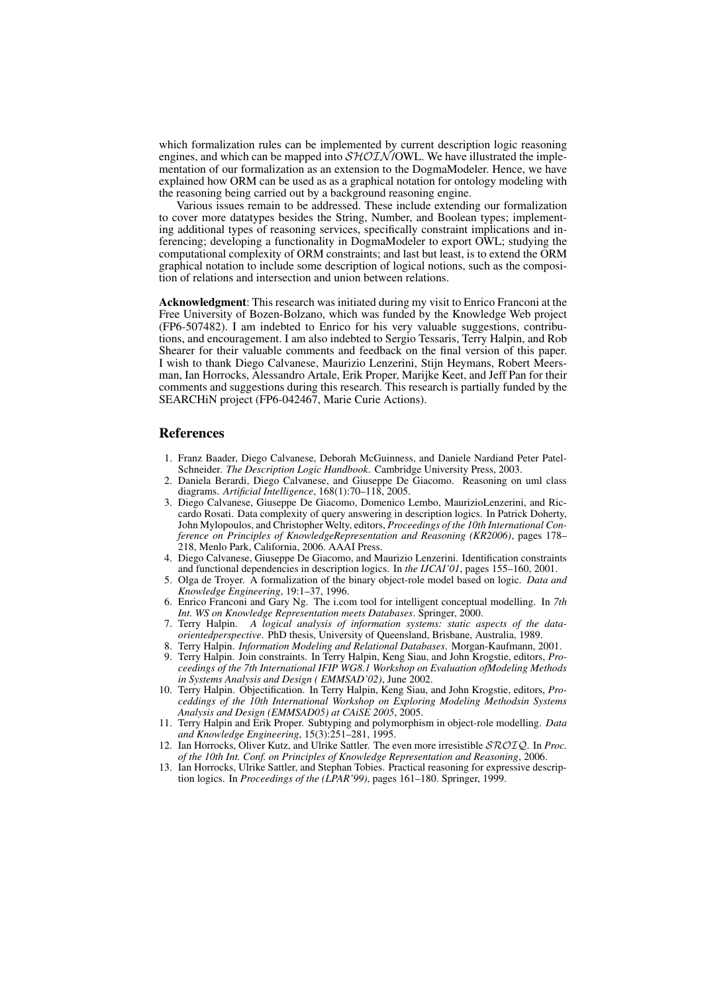which formalization rules can be implemented by current description logic reasoning engines, and which can be mapped into  $\mathcal{SHOLN}/\text{OWL}$ . We have illustrated the implementation of our formalization as an extension to the DogmaModeler. Hence, we have explained how ORM can be used as as a graphical notation for ontology modeling with the reasoning being carried out by a background reasoning engine.

Various issues remain to be addressed. These include extending our formalization to cover more datatypes besides the String, Number, and Boolean types; implementing additional types of reasoning services, specifically constraint implications and inferencing; developing a functionality in DogmaModeler to export OWL; studying the computational complexity of ORM constraints; and last but least, is to extend the ORM graphical notation to include some description of logical notions, such as the composition of relations and intersection and union between relations.

Acknowledgment: This research was initiated during my visit to Enrico Franconi at the Free University of Bozen-Bolzano, which was funded by the Knowledge Web project (FP6-507482). I am indebted to Enrico for his very valuable suggestions, contributions, and encouragement. I am also indebted to Sergio Tessaris, Terry Halpin, and Rob Shearer for their valuable comments and feedback on the final version of this paper. I wish to thank Diego Calvanese, Maurizio Lenzerini, Stijn Heymans, Robert Meersman, Ian Horrocks, Alessandro Artale, Erik Proper, Marijke Keet, and Jeff Pan for their comments and suggestions during this research. This research is partially funded by the SEARCHiN project (FP6-042467, Marie Curie Actions).

# **References**

- 1. Franz Baader, Diego Calvanese, Deborah McGuinness, and Daniele Nardiand Peter Patel-Schneider. *The Description Logic Handbook*. Cambridge University Press, 2003.
- 2. Daniela Berardi, Diego Calvanese, and Giuseppe De Giacomo. Reasoning on uml class diagrams. *Artificial Intelligence*, 168(1):70–118, 2005.
- 3. Diego Calvanese, Giuseppe De Giacomo, Domenico Lembo, MaurizioLenzerini, and Riccardo Rosati. Data complexity of query answering in description logics. In Patrick Doherty, John Mylopoulos, and Christopher Welty, editors, *Proceedings of the 10th International Conference on Principles of KnowledgeRepresentation and Reasoning (KR2006)*, pages 178– 218, Menlo Park, California, 2006. AAAI Press.
- 4. Diego Calvanese, Giuseppe De Giacomo, and Maurizio Lenzerini. Identification constraints and functional dependencies in description logics. In *the IJCAI'01*, pages 155–160, 2001.
- 5. Olga de Troyer. A formalization of the binary object-role model based on logic. *Data and Knowledge Engineering*, 19:1–37, 1996.
- 6. Enrico Franconi and Gary Ng. The i.com tool for intelligent conceptual modelling. In *7th Int. WS on Knowledge Representation meets Databases*. Springer, 2000.
- 7. Terry Halpin. *A logical analysis of information systems: static aspects of the dataorientedperspective*. PhD thesis, University of Queensland, Brisbane, Australia, 1989.
- 8. Terry Halpin. *Information Modeling and Relational Databases*. Morgan-Kaufmann, 2001.
- 9. Terry Halpin. Join constraints. In Terry Halpin, Keng Siau, and John Krogstie, editors, *Proceedings of the 7th International IFIP WG8.1 Workshop on Evaluation ofModeling Methods in Systems Analysis and Design ( EMMSAD'02)*, June 2002.
- 10. Terry Halpin. Objectification. In Terry Halpin, Keng Siau, and John Krogstie, editors, *Proceddings of the 10th International Workshop on Exploring Modeling Methodsin Systems Analysis and Design (EMMSAD05) at CAiSE 2005*, 2005.
- 11. Terry Halpin and Erik Proper. Subtyping and polymorphism in object-role modelling. *Data and Knowledge Engineering*, 15(3):251–281, 1995.
- 12. Ian Horrocks, Oliver Kutz, and Ulrike Sattler. The even more irresistible SROIQ. In *Proc. of the 10th Int. Conf. on Principles of Knowledge Representation and Reasoning*, 2006.
- 13. Ian Horrocks, Ulrike Sattler, and Stephan Tobies. Practical reasoning for expressive description logics. In *Proceedings of the (LPAR'99)*, pages 161–180. Springer, 1999.